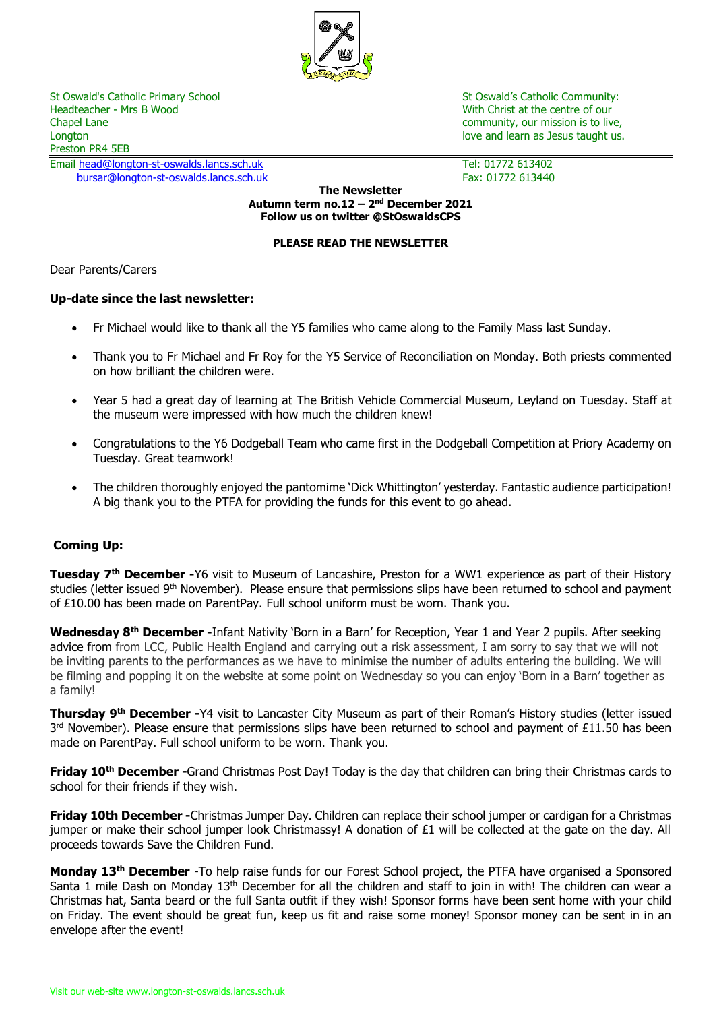

Headteacher - Mrs B Wood North Christ at the centre of our Nutle Christ at the centre of our Chapel Lane community, our mission is to live, Longton love and learn as Jesus taught us. Preston PR4 5EB

Email [head@longton-st-oswalds.lancs.sch.uk](mailto:head@longton-st-oswalds.lancs.sch.uk) Tel: 01772 613402 [bursar@longton-st-oswalds.lancs.sch.uk](mailto:bursar@longton-st-oswalds.lancs.sch.uk) Fax: 01772 613440

St Oswald's Catholic Primary School St Oswald's Catholic Community:

**The Newsletter Autumn term no.12 – 2 nd December 2021 Follow us on twitter @StOswaldsCPS**

# **PLEASE READ THE NEWSLETTER**

Dear Parents/Carers

# **Up-date since the last newsletter:**

- Fr Michael would like to thank all the Y5 families who came along to the Family Mass last Sunday.
- Thank you to Fr Michael and Fr Roy for the Y5 Service of Reconciliation on Monday. Both priests commented on how brilliant the children were.
- Year 5 had a great day of learning at The British Vehicle Commercial Museum, Leyland on Tuesday. Staff at the museum were impressed with how much the children knew!
- Congratulations to the Y6 Dodgeball Team who came first in the Dodgeball Competition at Priory Academy on Tuesday. Great teamwork!
- The children thoroughly enjoyed the pantomime 'Dick Whittington' yesterday. Fantastic audience participation! A big thank you to the PTFA for providing the funds for this event to go ahead.

# **Coming Up:**

**Tuesday 7th December -**Y6 visit to Museum of Lancashire, Preston for a WW1 experience as part of their History studies (letter issued 9<sup>th</sup> November). Please ensure that permissions slips have been returned to school and payment of £10.00 has been made on ParentPay. Full school uniform must be worn. Thank you.

**Wednesday 8th December -**Infant Nativity 'Born in a Barn' for Reception, Year 1 and Year 2 pupils. After seeking advice from from LCC, Public Health England and carrying out a risk assessment, I am sorry to say that we will not be inviting parents to the performances as we have to minimise the number of adults entering the building. We will be filming and popping it on the website at some point on Wednesday so you can enjoy 'Born in a Barn' together as a family!

**Thursday 9th December -**Y4 visit to Lancaster City Museum as part of their Roman's History studies (letter issued  $3<sup>rd</sup>$  November). Please ensure that permissions slips have been returned to school and payment of £11.50 has been made on ParentPay. Full school uniform to be worn. Thank you.

**Friday 10th December -**Grand Christmas Post Day! Today is the day that children can bring their Christmas cards to school for their friends if they wish.

**Friday 10th December -**Christmas Jumper Day. Children can replace their school jumper or cardigan for a Christmas jumper or make their school jumper look Christmassy! A donation of £1 will be collected at the gate on the day. All proceeds towards Save the Children Fund.

**Monday 13th December** -To help raise funds for our Forest School project, the PTFA have organised a Sponsored Santa 1 mile Dash on Monday 13<sup>th</sup> December for all the children and staff to join in with! The children can wear a Christmas hat, Santa beard or the full Santa outfit if they wish! Sponsor forms have been sent home with your child on Friday. The event should be great fun, keep us fit and raise some money! Sponsor money can be sent in in an envelope after the event!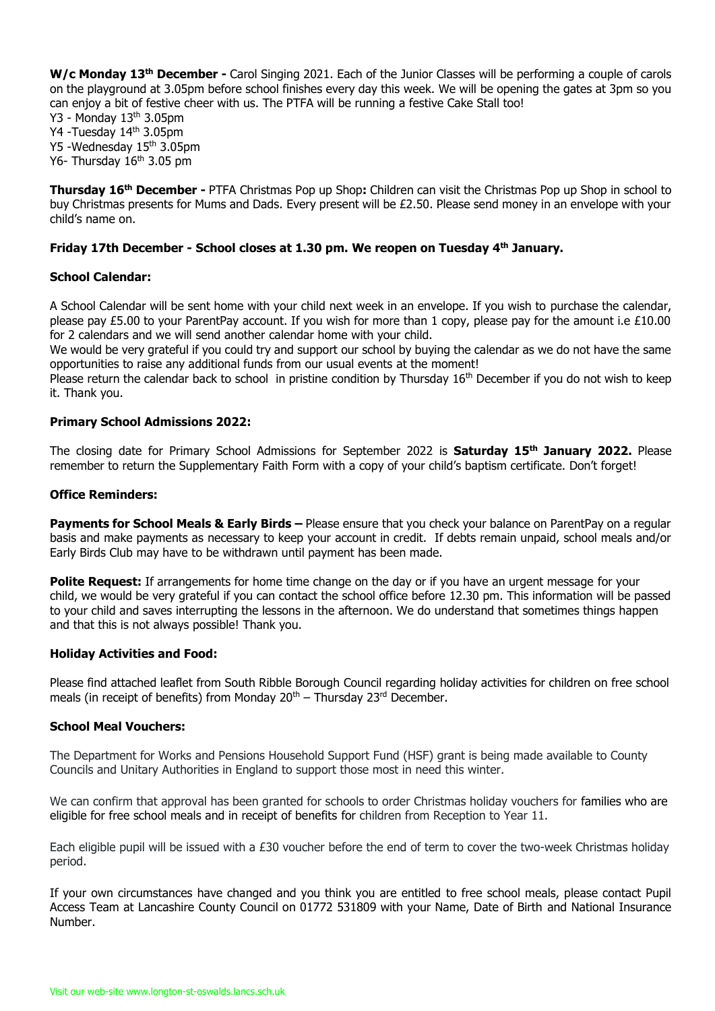**W/c Monday 13th December -** Carol Singing 2021. Each of the Junior Classes will be performing a couple of carols on the playground at 3.05pm before school finishes every day this week. We will be opening the gates at 3pm so you can enjoy a bit of festive cheer with us. The PTFA will be running a festive Cake Stall too!

Y3 - Monday 13th 3.05pm Y4 -Tuesday 14th 3.05pm Y5 -Wednesday 15th 3.05pm

Y6- Thursday  $16<sup>th</sup>$  3.05 pm

**Thursday 16th December -** PTFA Christmas Pop up Shop**:** Children can visit the Christmas Pop up Shop in school to buy Christmas presents for Mums and Dads. Every present will be £2.50. Please send money in an envelope with your child's name on.

# **Friday 17th December - School closes at 1.30 pm. We reopen on Tuesday 4th January.**

## **School Calendar:**

A School Calendar will be sent home with your child next week in an envelope. If you wish to purchase the calendar, please pay £5.00 to your ParentPay account. If you wish for more than 1 copy, please pay for the amount i.e £10.00 for 2 calendars and we will send another calendar home with your child.

We would be very grateful if you could try and support our school by buying the calendar as we do not have the same opportunities to raise any additional funds from our usual events at the moment!

Please return the calendar back to school in pristine condition by Thursday 16<sup>th</sup> December if you do not wish to keep it. Thank you.

#### **Primary School Admissions 2022:**

The closing date for Primary School Admissions for September 2022 is **Saturday 15th January 2022.** Please remember to return the Supplementary Faith Form with a copy of your child's baptism certificate. Don't forget!

## **Office Reminders:**

**Payments for School Meals & Early Birds –** Please ensure that you check your balance on ParentPay on a regular basis and make payments as necessary to keep your account in credit. If debts remain unpaid, school meals and/or Early Birds Club may have to be withdrawn until payment has been made.

**Polite Request:** If arrangements for home time change on the day or if you have an urgent message for your child, we would be very grateful if you can contact the school office before 12.30 pm. This information will be passed to your child and saves interrupting the lessons in the afternoon. We do understand that sometimes things happen and that this is not always possible! Thank you.

#### **Holiday Activities and Food:**

Please find attached leaflet from South Ribble Borough Council regarding holiday activities for children on free school meals (in receipt of benefits) from Monday  $20<sup>th</sup>$  – Thursday  $23<sup>rd</sup>$  December.

#### **School Meal Vouchers:**

The Department for Works and Pensions Household Support Fund (HSF) grant is being made available to County Councils and Unitary Authorities in England to support those most in need this winter.

We can confirm that approval has been granted for schools to order Christmas holiday vouchers for families who are eligible for free school meals and in receipt of benefits for children from Reception to Year 11.

Each eligible pupil will be issued with a £30 voucher before the end of term to cover the two-week Christmas holiday period.

If your own circumstances have changed and you think you are entitled to free school meals, please contact Pupil Access Team at Lancashire County Council on 01772 531809 with your Name, Date of Birth and National Insurance Number.